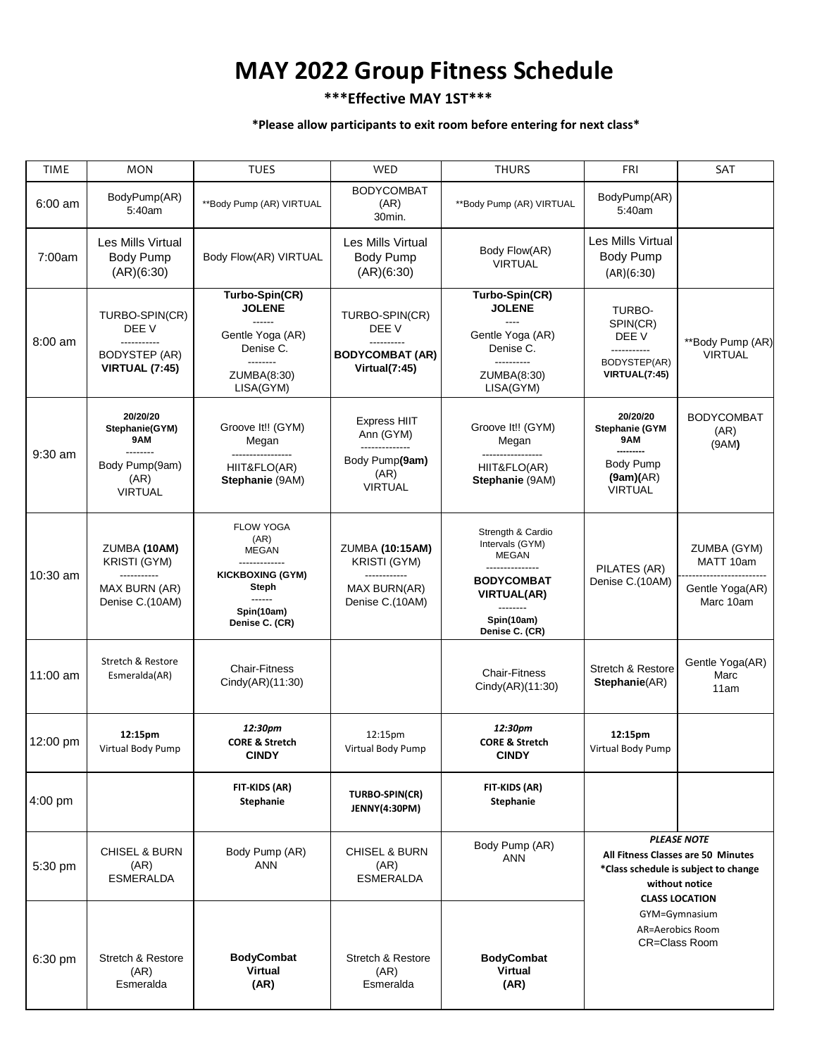## **MAY 2022 Group Fitness Schedule**

## **\*\*\*Effective MAY 1ST\*\*\***

## **\*Please allow participants to exit room before entering for next class\***

| <b>TIME</b> | <b>MON</b>                                                                             | <b>TUES</b>                                                                | <b>WED</b>                                                             | <b>THURS</b>                                                                                    | FRI                                                                                                                                                                                               | <b>SAT</b>                         |
|-------------|----------------------------------------------------------------------------------------|----------------------------------------------------------------------------|------------------------------------------------------------------------|-------------------------------------------------------------------------------------------------|---------------------------------------------------------------------------------------------------------------------------------------------------------------------------------------------------|------------------------------------|
|             |                                                                                        |                                                                            | <b>BODYCOMBAT</b>                                                      |                                                                                                 |                                                                                                                                                                                                   |                                    |
| 6:00 am     | BodyPump(AR)<br>5:40am                                                                 | **Body Pump (AR) VIRTUAL                                                   | (AR)<br>30min.                                                         | **Body Pump (AR) VIRTUAL                                                                        | BodyPump(AR)<br>5:40am                                                                                                                                                                            |                                    |
| 7:00am      | Les Mills Virtual<br>Body Pump<br>(AR)(6:30)                                           | Body Flow(AR) VIRTUAL                                                      | Les Mills Virtual<br><b>Body Pump</b><br>(AR)(6:30)                    | Body Flow(AR)<br><b>VIRTUAL</b>                                                                 | Les Mills Virtual<br>Body Pump                                                                                                                                                                    |                                    |
|             |                                                                                        |                                                                            |                                                                        |                                                                                                 | (AR)(6:30)                                                                                                                                                                                        |                                    |
| 8:00 am     | TURBO-SPIN(CR)<br>DEE V<br>-----------<br><b>BODYSTEP (AR)</b><br>VIRTUAL (7:45)       | Turbo-Spin(CR)<br><b>JOLENE</b><br>------                                  | TURBO-SPIN(CR)                                                         | Turbo-Spin(CR)<br><b>JOLENE</b><br>$\frac{1}{2}$<br>Gentle Yoga (AR)<br>Denise C.<br>---------- | <b>TURBO-</b><br>SPIN(CR)<br>DEE V<br>-----------<br>BODYSTEP(AR)<br>VIRTUAL(7:45)                                                                                                                |                                    |
|             |                                                                                        | Gentle Yoga (AR)<br>Denise C.<br>--------<br>ZUMBA(8:30)<br>LISA(GYM)      | DEE V<br>----------<br><b>BODYCOMBAT (AR)</b><br>Virtual(7:45)         |                                                                                                 |                                                                                                                                                                                                   | **Body Pump (AR)<br><b>VIRTUAL</b> |
|             |                                                                                        |                                                                            |                                                                        | ZUMBA(8:30)<br>LISA(GYM)                                                                        |                                                                                                                                                                                                   |                                    |
| 9:30 am     | 20/20/20<br>Stephanie(GYM)<br>9AM                                                      | Groove It!! (GYM)<br>Megan                                                 | <b>Express HIIT</b><br>Ann (GYM)<br>--------------                     | Groove It!! (GYM)<br>Megan                                                                      | 20/20/20<br><b>Stephanie (GYM</b><br>9AM<br>---------                                                                                                                                             | <b>BODYCOMBAT</b><br>(AR)<br>(9AM) |
|             | --------<br>Body Pump(9am)<br>(AR)<br><b>VIRTUAL</b>                                   | HIIT&FLO(AR)<br>Stephanie (9AM)                                            | Body Pump(9am)<br>(AR)<br><b>VIRTUAL</b>                               | -----------------<br>HIIT&FLO(AR)<br>Stephanie (9AM)                                            | <b>Body Pump</b><br>(9am)(AR)<br><b>VIRTUAL</b>                                                                                                                                                   |                                    |
| 10:30 am    | ZUMBA (10AM)<br><b>KRISTI (GYM)</b><br>-----------<br>MAX BURN (AR)<br>Denise C.(10AM) | <b>FLOW YOGA</b><br>(AR)<br>MEGAN                                          | ZUMBA (10:15AM)                                                        | Strength & Cardio<br>Intervals (GYM)<br><b>MEGAN</b>                                            | PILATES (AR)<br>Denise C.(10AM)                                                                                                                                                                   | ZUMBA (GYM)                        |
|             |                                                                                        | <b>KICKBOXING (GYM)</b><br>Steph<br>------<br>Spin(10am)<br>Denise C. (CR) | <b>KRISTI (GYM)</b><br>------------<br>MAX BURN(AR)<br>Denise C.(10AM) | ---------------<br><b>BODYCOMBAT</b>                                                            |                                                                                                                                                                                                   | MATT 10am<br>Gentle Yoga(AR)       |
|             |                                                                                        |                                                                            |                                                                        | <b>VIRTUAL(AR)</b><br>--------<br>Spin(10am)<br>Denise C. (CR)                                  |                                                                                                                                                                                                   | Marc 10am                          |
| $11:00$ am  | Stretch & Restore<br>Esmeralda(AR)                                                     | <b>Chair-Fitness</b><br>Cindy(AR)(11:30)                                   |                                                                        | <b>Chair-Fitness</b><br>Cindy(AR)(11:30)                                                        | Stretch & Restore<br>Stephanie(AR)                                                                                                                                                                | Gentle Yoga(AR)<br>Marc<br>11am    |
| 12:00 pm    | 12:15pm<br>Virtual Body Pump                                                           | 12:30pm<br><b>CORE &amp; Stretch</b><br><b>CINDY</b>                       | 12:15pm<br>Virtual Body Pump                                           | 12:30pm<br><b>CORE &amp; Stretch</b><br><b>CINDY</b>                                            | 12:15pm<br>Virtual Body Pump                                                                                                                                                                      |                                    |
| $4:00$ pm   |                                                                                        | FIT-KIDS (AR)<br>Stephanie                                                 | <b>TURBO-SPIN(CR)</b><br>JENNY(4:30PM)                                 | FIT-KIDS (AR)<br>Stephanie                                                                      |                                                                                                                                                                                                   |                                    |
| 5:30 pm     | <b>CHISEL &amp; BURN</b><br>(AR)<br>ESMERALDA                                          | Body Pump (AR)<br>ANN                                                      | <b>CHISEL &amp; BURN</b><br>(AR)<br><b>ESMERALDA</b>                   | Body Pump (AR)<br><b>ANN</b>                                                                    | <b>PLEASE NOTE</b><br>All Fitness Classes are 50 Minutes<br>*Class schedule is subject to change<br>without notice<br><b>CLASS LOCATION</b><br>GYM=Gymnasium<br>AR=Aerobics Room<br>CR=Class Room |                                    |
| 6:30 pm     | <b>Stretch &amp; Restore</b><br>(AR)<br>Esmeralda                                      | <b>BodyCombat</b><br><b>Virtual</b><br>(AR)                                | Stretch & Restore<br>(AR)<br>Esmeralda                                 | <b>BodyCombat</b><br><b>Virtual</b><br>(AR)                                                     |                                                                                                                                                                                                   |                                    |